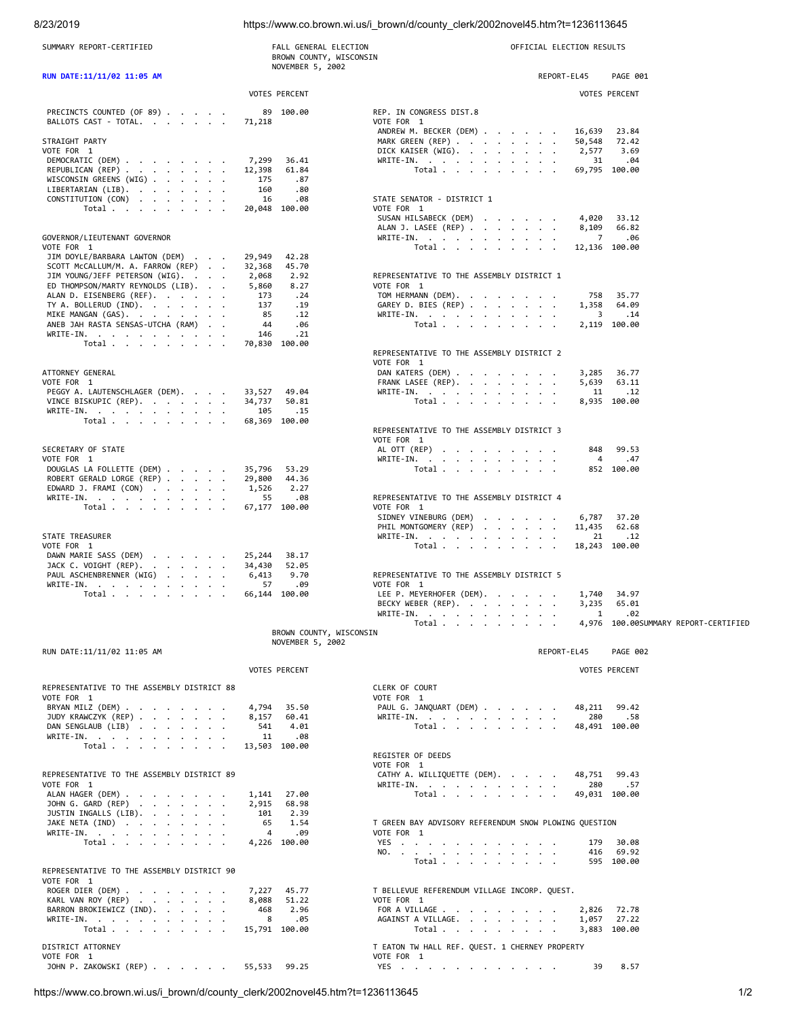## 8/23/2019 https://www.co.brown.wi.us/i\_brown/d/county\_clerk/2002novel45.htm?t=1236113645

| SUMMARY REPORT-CERTIFIED                                            | FALL GENERAL ELECTION<br>BROWN COUNTY, WISCONSIN | OFFICIAL ELECTION RESULTS                               |                         |                                      |
|---------------------------------------------------------------------|--------------------------------------------------|---------------------------------------------------------|-------------------------|--------------------------------------|
| RUN DATE:11/11/02 11:05 AM                                          | NOVEMBER 5, 2002                                 |                                                         | REPORT-EL45             | PAGE 001                             |
|                                                                     | <b>VOTES PERCENT</b>                             |                                                         |                         | <b>VOTES PERCENT</b>                 |
|                                                                     |                                                  |                                                         |                         |                                      |
| PRECINCTS COUNTED (OF 89)<br>BALLOTS CAST - TOTAL.                  | 89 100.00<br>71,218                              | REP. IN CONGRESS DIST.8<br>VOTE FOR 1                   |                         |                                      |
|                                                                     |                                                  | ANDREW M. BECKER (DEM)                                  | 16,639                  | 23.84                                |
| STRAIGHT PARTY<br>VOTE FOR 1                                        |                                                  | MARK GREEN (REP)<br>DICK KAISER (WIG).                  | 50,548<br>2,577         | 72.42<br>3.69                        |
| DEMOCRATIC (DEM)                                                    | 7,299<br>36.41                                   | WRITE-IN.                                               | 31                      | .04                                  |
| REPUBLICAN (REP)<br>WISCONSIN GREENS (WIG)                          | 12,398<br>61.84<br>.87<br>175                    | Total                                                   |                         | 69,795 100.00                        |
| LIBERTARIAN (LIB).                                                  | 160<br>.80                                       |                                                         |                         |                                      |
| CONSTITUTION (CON)<br>Total $\cdots$ $\cdots$ $\cdots$              | 16<br>.08<br>20,048 100.00                       | STATE SENATOR - DISTRICT 1<br>VOTE FOR 1                |                         |                                      |
|                                                                     |                                                  | SUSAN HILSABECK (DEM)                                   |                         | 4,020 33.12                          |
| GOVERNOR/LIEUTENANT GOVERNOR                                        |                                                  | ALAN J. LASEE (REP)<br>WRITE-IN.                        | 8,109<br>$\overline{7}$ | 66.82<br>.06                         |
| VOTE FOR 1                                                          |                                                  | Total $\ldots$ $\ldots$ $\ldots$ $\ldots$               |                         | 12,136 100.00                        |
| JIM DOYLE/BARBARA LAWTON (DEM)<br>SCOTT McCALLUM/M. A. FARROW (REP) | 29,949<br>42.28<br>32,368<br>45.70               |                                                         |                         |                                      |
| JIM YOUNG/JEFF PETERSON (WIG).                                      | 2.92<br>2,068                                    | REPRESENTATIVE TO THE ASSEMBLY DISTRICT 1               |                         |                                      |
| ED THOMPSON/MARTY REYNOLDS (LIB).                                   | 5,860<br>8.27                                    | VOTE FOR 1                                              |                         | 758 35.77                            |
| ALAN D. EISENBERG (REF).<br>TY A. BOLLERUD $(IND)$ .                | .24<br>173<br>137<br>.19                         | TOM HERMANN (DEM).<br>GAREY D. BIES (REP)               |                         | 1,358 64.09                          |
| MIKE MANGAN (GAS).                                                  | 85<br>.12                                        | WRITE-IN.                                               | $\overline{\mathbf{3}}$ | . 14                                 |
| ANEB JAH RASTA SENSAS-UTCHA (RAM)<br>WRITE-IN.                      | 44<br>.06<br>146<br>.21                          | Total                                                   |                         | 2,119 100.00                         |
| Total                                                               | 70,830 100.00                                    |                                                         |                         |                                      |
|                                                                     |                                                  | REPRESENTATIVE TO THE ASSEMBLY DISTRICT 2<br>VOTE FOR 1 |                         |                                      |
| ATTORNEY GENERAL                                                    |                                                  | DAN KATERS (DEM)                                        | 3,285                   | 36.77                                |
| VOTE FOR 1<br>PEGGY A. LAUTENSCHLAGER (DEM).                        | 33,527<br>49.04                                  | FRANK LASEE (REP).<br>WRITE-IN.                         | 5,639<br>11             | 63.11<br>.12                         |
| VINCE BISKUPIC (REP).                                               | 34,737<br>50.81                                  | Total                                                   |                         | 8,935 100.00                         |
| WRITE-IN.                                                           | 105<br>.15                                       |                                                         |                         |                                      |
| Total $\cdots$ $\cdots$ $\cdots$                                    | 68,369 100.00                                    | REPRESENTATIVE TO THE ASSEMBLY DISTRICT 3               |                         |                                      |
|                                                                     |                                                  | VOTE FOR 1                                              |                         |                                      |
| SECRETARY OF STATE<br>VOTE FOR 1                                    |                                                  | AL OTT (REP)<br>WRITE-IN.                               | 848<br>4                | 99.53<br>.47                         |
| DOUGLAS LA FOLLETTE (DEM)                                           | 35,796<br>53.29                                  | Total                                                   |                         | 852 100.00                           |
| ROBERT GERALD LORGE (REP)<br>EDWARD J. FRAMI (CON)                  | 29,800<br>44.36<br>1,526<br>2.27                 |                                                         |                         |                                      |
| WRITE-IN.                                                           | 55<br>.08                                        | REPRESENTATIVE TO THE ASSEMBLY DISTRICT 4               |                         |                                      |
| Total $\cdots$ $\cdots$ $\cdots$                                    | 67,177 100.00                                    | VOTE FOR 1<br>SIDNEY VINEBURG (DEM)                     | 6,787                   | 37.20                                |
|                                                                     |                                                  | PHIL MONTGOMERY (REP)                                   | 11,435                  | 62.68                                |
| STATE TREASURER                                                     |                                                  | WRITE-IN.                                               | 21                      | .12                                  |
| VOTE FOR 1<br>DAWN MARIE SASS (DEM)                                 | 25,244<br>38.17                                  | Total $\cdots$ $\cdots$ $\cdots$                        |                         | 18,243 100.00                        |
| JACK C. VOIGHT $($ REP $)$ .                                        | 34,430<br>52.05                                  |                                                         |                         |                                      |
| PAUL ASCHENBRENNER (WIG)<br>WRITE-IN.                               | 6,413<br>9.70<br>57<br>.09                       | REPRESENTATIVE TO THE ASSEMBLY DISTRICT 5<br>VOTE FOR 1 |                         |                                      |
| Total $\cdots$ $\cdots$ $\cdots$                                    | 66,144 100.00                                    | LEE P. MEYERHOFER (DEM).                                |                         | 1,740 34.97                          |
|                                                                     |                                                  | BECKY WEBER (REP).<br>WRITE-IN.                         | $\mathbf{1}$            | 3,235 65.01<br>.02                   |
|                                                                     |                                                  | Total                                                   |                         | 4,976 100.00SUMMARY REPORT-CERTIFIED |
|                                                                     | BROWN COUNTY, WISCONSIN<br>NOVEMBER 5, 2002      |                                                         |                         |                                      |
| RUN DATE:11/11/02 11:05 AM                                          |                                                  |                                                         | REPORT-EL45             | PAGE 002                             |
|                                                                     | <b>VOTES PERCENT</b>                             |                                                         |                         | <b>VOTES PERCENT</b>                 |
|                                                                     |                                                  |                                                         |                         |                                      |
| REPRESENTATIVE TO THE ASSEMBLY DISTRICT 88<br>VOTE FOR 1            |                                                  | CLERK OF COURT<br>VOTE FOR 1                            |                         |                                      |
| BRYAN MILZ (DEM)                                                    | 4,794<br>35.50                                   | PAUL G. JANQUART (DEM)                                  |                         | 48,211 99.42                         |
| JUDY KRAWCZYK (REP)<br>DAN SENGLAUB (LIB)                           | 8,157<br>60.41<br>541<br>4.01                    | WRITE-IN.<br>Total                                      | 280                     | .58<br>48,491 100.00                 |
| WRITE-IN.                                                           | .08<br>11                                        |                                                         |                         |                                      |
| Total                                                               | 13,503 100.00                                    | REGISTER OF DEEDS                                       |                         |                                      |
|                                                                     |                                                  | VOTE FOR 1                                              |                         |                                      |
| REPRESENTATIVE TO THE ASSEMBLY DISTRICT 89<br>VOTE FOR 1            |                                                  | CATHY A. WILLIQUETTE (DEM).<br>WRITE-IN.                | 48,751<br>280           | 99.43<br>.57                         |
| ALAN HAGER (DEM)                                                    | 1,141<br>27.00                                   | Total                                                   |                         | 49,031 100.00                        |
| JOHN G. GARD (REP)                                                  | 2,915<br>68.98                                   |                                                         |                         |                                      |
| JUSTIN INGALLS (LIB).<br>JAKE NETA (IND)                            | 101<br>2.39<br>65<br>1.54                        | T GREEN BAY ADVISORY REFERENDUM SNOW PLOWING QUESTION   |                         |                                      |
| WRITE-IN.                                                           | $\overline{4}$<br>.09                            | VOTE FOR 1                                              |                         |                                      |
| Total $\ldots$ $\ldots$ $\ldots$ $\ldots$                           | 4,226 100.00                                     | YES<br>NO.                                              | 179<br>416              | 30.08<br>69.92                       |
|                                                                     |                                                  | Total                                                   |                         | 595 100.00                           |
| REPRESENTATIVE TO THE ASSEMBLY DISTRICT 90<br>VOTE FOR 1            |                                                  |                                                         |                         |                                      |
| ROGER DIER (DEM)                                                    | 7,227<br>45.77                                   | T BELLEVUE REFERENDUM VILLAGE INCORP. QUEST.            |                         |                                      |
| KARL VAN ROY (REP)<br>BARRON BROKIEWICZ (IND).                      | 8,088<br>51.22<br>468<br>2.96                    | VOTE FOR 1<br>FOR A VILLAGE                             |                         | 2,826 72.78                          |
| WRITE-IN.                                                           | 8<br>.05                                         | AGAINST A VILLAGE.                                      | 1,057                   | 27.22                                |
| Total $\cdots$ $\cdots$ $\cdots$                                    | 15,791 100.00                                    | Total $\ldots$ $\ldots$ $\ldots$ $\ldots$               |                         | 3,883 100.00                         |
| DISTRICT ATTORNEY                                                   |                                                  | T EATON TW HALL REF. QUEST. 1 CHERNEY PROPERTY          |                         |                                      |
| VOTE FOR 1<br>JOHN P. ZAKOWSKI (REP)                                | 99.25<br>55,533                                  | VOTE FOR 1<br>YES                                       | 39                      | 8.57                                 |
|                                                                     |                                                  |                                                         |                         |                                      |